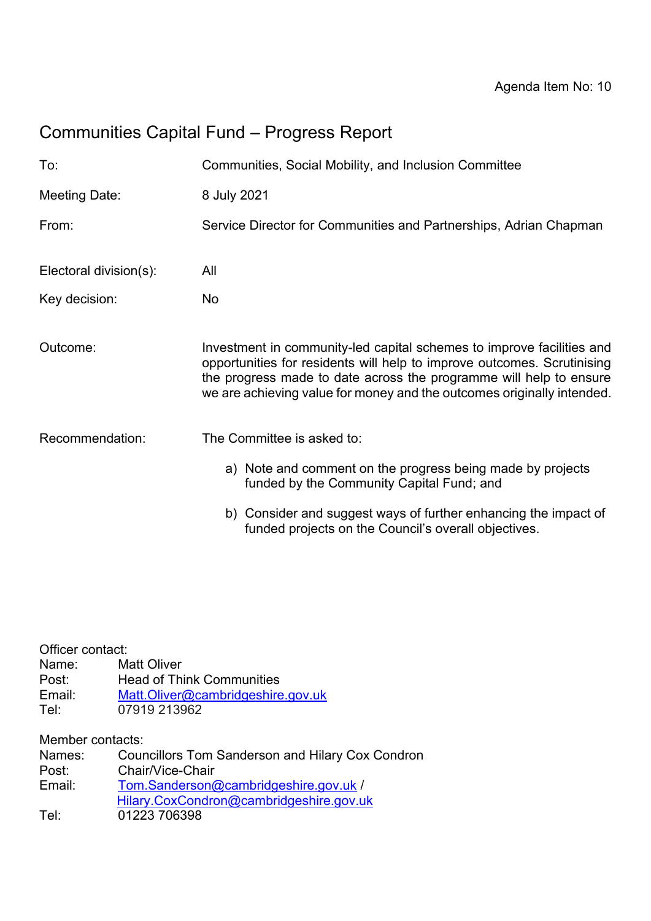# Communities Capital Fund – Progress Report

| To:                    | Communities, Social Mobility, and Inclusion Committee                                                                                                                                                                                                                                            |
|------------------------|--------------------------------------------------------------------------------------------------------------------------------------------------------------------------------------------------------------------------------------------------------------------------------------------------|
| Meeting Date:          | 8 July 2021                                                                                                                                                                                                                                                                                      |
| From:                  | Service Director for Communities and Partnerships, Adrian Chapman                                                                                                                                                                                                                                |
| Electoral division(s): | All                                                                                                                                                                                                                                                                                              |
| Key decision:          | No                                                                                                                                                                                                                                                                                               |
| Outcome:               | Investment in community-led capital schemes to improve facilities and<br>opportunities for residents will help to improve outcomes. Scrutinising<br>the progress made to date across the programme will help to ensure<br>we are achieving value for money and the outcomes originally intended. |
| Recommendation:        | The Committee is asked to:                                                                                                                                                                                                                                                                       |
|                        | a) Note and comment on the progress being made by projects<br>funded by the Community Capital Fund; and                                                                                                                                                                                          |
|                        | b) Consider and suggest ways of further enhancing the impact of<br>funded projects on the Council's overall objectives.                                                                                                                                                                          |

| Officer contact:<br>Name:<br>Post:<br>Email:<br>Tel: | Matt Oliver<br><b>Head of Think Communities</b><br>Matt.Oliver@cambridgeshire.gov.uk<br>07919 213962 |  |
|------------------------------------------------------|------------------------------------------------------------------------------------------------------|--|
| Member contacts:                                     |                                                                                                      |  |
| Names:                                               | <b>Councillors Tom Sanderson and Hilary Cox Condron</b>                                              |  |
| Post:                                                | Chair/Vice-Chair                                                                                     |  |
| Email:                                               | Tom.Sanderson@cambridgeshire.gov.uk /                                                                |  |
| Tel:                                                 | Hilary.CoxCondron@cambridgeshire.gov.uk<br>01223 706398                                              |  |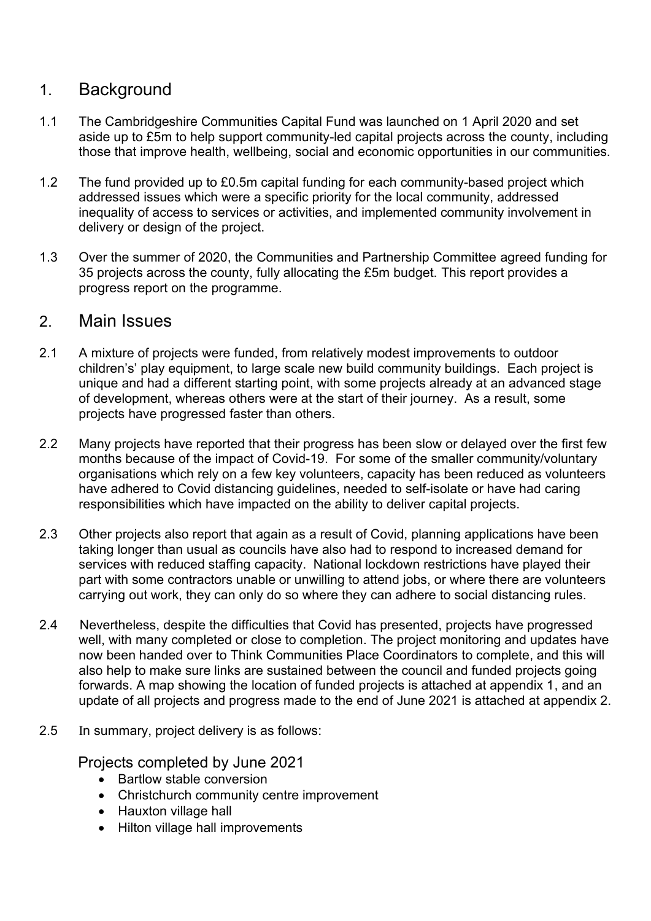### 1. Background

- 1.1 The Cambridgeshire Communities Capital Fund was launched on 1 April 2020 and set aside up to £5m to help support community-led capital projects across the county, including those that improve health, wellbeing, social and economic opportunities in our communities.
- 1.2 The fund provided up to £0.5m capital funding for each community-based project which addressed issues which were a specific priority for the local community, addressed inequality of access to services or activities, and implemented community involvement in delivery or design of the project.
- 1.3 Over the summer of 2020, the Communities and Partnership Committee agreed funding for 35 projects across the county, fully allocating the £5m budget. This report provides a progress report on the programme.

#### 2. Main Issues

- 2.1 A mixture of projects were funded, from relatively modest improvements to outdoor children's' play equipment, to large scale new build community buildings. Each project is unique and had a different starting point, with some projects already at an advanced stage of development, whereas others were at the start of their journey. As a result, some projects have progressed faster than others.
- 2.2 Many projects have reported that their progress has been slow or delayed over the first few months because of the impact of Covid-19. For some of the smaller community/voluntary organisations which rely on a few key volunteers, capacity has been reduced as volunteers have adhered to Covid distancing guidelines, needed to self-isolate or have had caring responsibilities which have impacted on the ability to deliver capital projects.
- 2.3 Other projects also report that again as a result of Covid, planning applications have been taking longer than usual as councils have also had to respond to increased demand for services with reduced staffing capacity. National lockdown restrictions have played their part with some contractors unable or unwilling to attend jobs, or where there are volunteers carrying out work, they can only do so where they can adhere to social distancing rules.
- 2.4 Nevertheless, despite the difficulties that Covid has presented, projects have progressed well, with many completed or close to completion. The project monitoring and updates have now been handed over to Think Communities Place Coordinators to complete, and this will also help to make sure links are sustained between the council and funded projects going forwards. A map showing the location of funded projects is attached at appendix 1, and an update of all projects and progress made to the end of June 2021 is attached at appendix 2.
- 2.5 In summary, project delivery is as follows:

Projects completed by June 2021

- Bartlow stable conversion
- Christchurch community centre improvement
- Hauxton village hall
- Hilton village hall improvements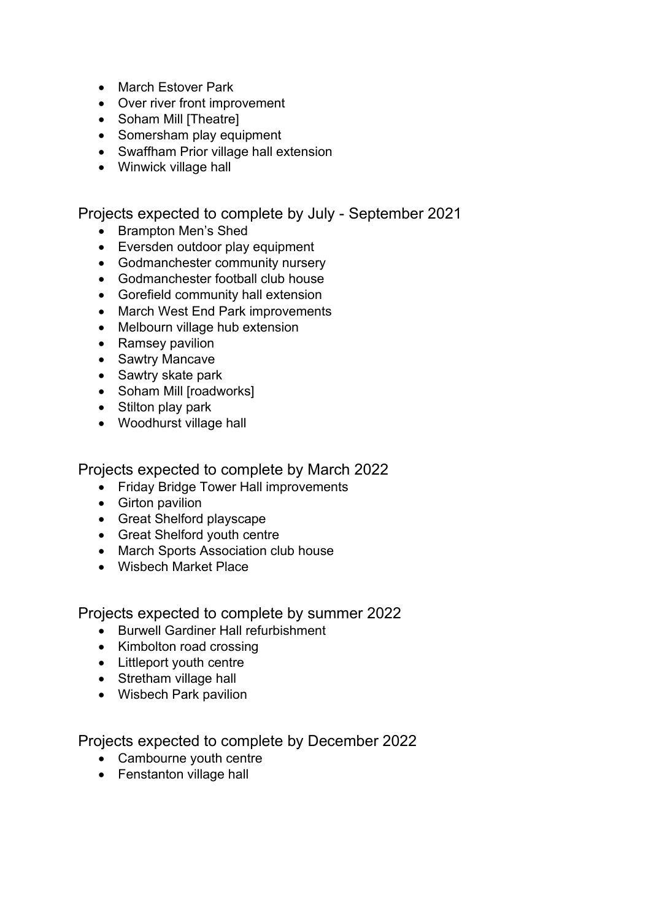- March Estover Park
- Over river front improvement
- Soham Mill [Theatre]
- Somersham play equipment
- Swaffham Prior village hall extension
- Winwick village hall

Projects expected to complete by July - September 2021

- Brampton Men's Shed
- Eversden outdoor play equipment
- Godmanchester community nursery
- Godmanchester football club house
- Gorefield community hall extension
- March West End Park improvements
- Melbourn village hub extension
- Ramsey pavilion
- Sawtry Mancave
- Sawtry skate park
- Soham Mill [roadworks]
- Stilton play park
- Woodhurst village hall

Projects expected to complete by March 2022

- Friday Bridge Tower Hall improvements
- Girton pavilion
- Great Shelford playscape
- Great Shelford youth centre
- March Sports Association club house
- Wisbech Market Place

Projects expected to complete by summer 2022

- Burwell Gardiner Hall refurbishment
- Kimbolton road crossing
- Littleport youth centre
- Stretham village hall
- Wisbech Park pavilion

Projects expected to complete by December 2022

- Cambourne youth centre
- Fenstanton village hall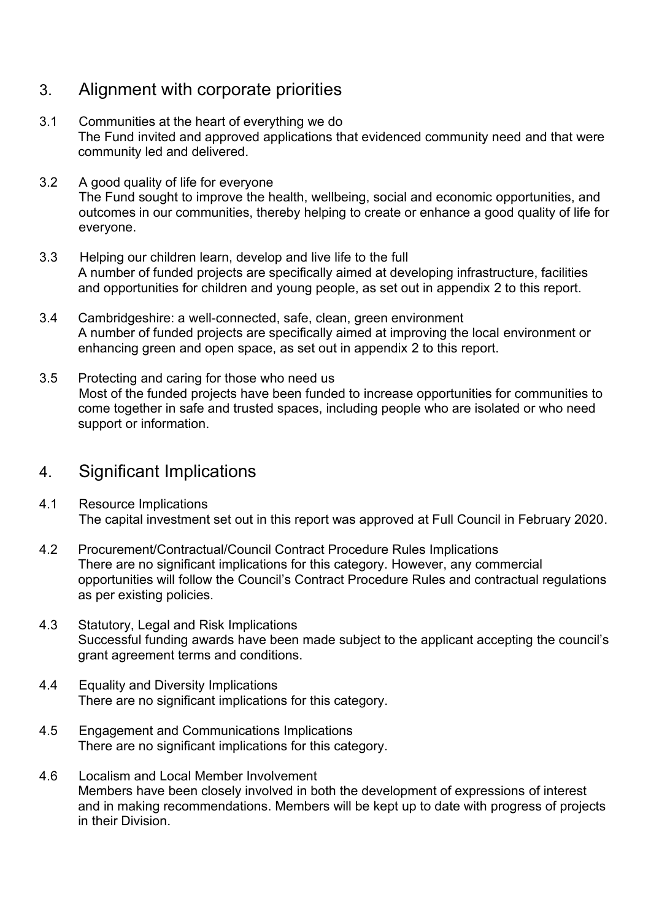# 3. Alignment with corporate priorities

- 3.1 Communities at the heart of everything we do The Fund invited and approved applications that evidenced community need and that were community led and delivered.
- 3.2 A good quality of life for everyone The Fund sought to improve the health, wellbeing, social and economic opportunities, and outcomes in our communities, thereby helping to create or enhance a good quality of life for everyone.
- 3.3 Helping our children learn, develop and live life to the full A number of funded projects are specifically aimed at developing infrastructure, facilities and opportunities for children and young people, as set out in appendix 2 to this report.
- 3.4 Cambridgeshire: a well-connected, safe, clean, green environment A number of funded projects are specifically aimed at improving the local environment or enhancing green and open space, as set out in appendix 2 to this report.
- 3.5 Protecting and caring for those who need us Most of the funded projects have been funded to increase opportunities for communities to come together in safe and trusted spaces, including people who are isolated or who need support or information.

### 4. Significant Implications

- 4.1 Resource Implications The capital investment set out in this report was approved at Full Council in February 2020.
- 4.2 Procurement/Contractual/Council Contract Procedure Rules Implications There are no significant implications for this category. However, any commercial opportunities will follow the Council's Contract Procedure Rules and contractual regulations as per existing policies.
- 4.3 Statutory, Legal and Risk Implications Successful funding awards have been made subject to the applicant accepting the council's grant agreement terms and conditions.
- 4.4 Equality and Diversity Implications There are no significant implications for this category.
- 4.5 Engagement and Communications Implications There are no significant implications for this category.
- 4.6 Localism and Local Member Involvement Members have been closely involved in both the development of expressions of interest and in making recommendations. Members will be kept up to date with progress of projects in their Division.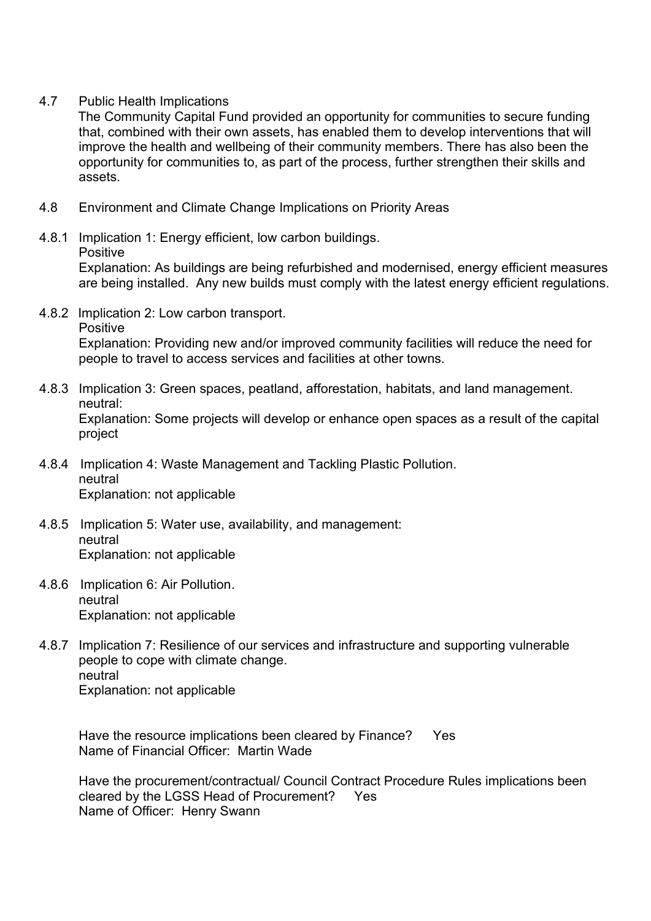4.7 Public Health Implications

The Community Capital Fund provided an opportunity for communities to secure funding that, combined with their own assets, has enabled them to develop interventions that will improve the health and wellbeing of their community members. There has also been the opportunity for communities to, as part of the process, further strengthen their skills and assets.

- 4.8 Environment and Climate Change Implications on Priority Areas
- 4.8.1 Implication 1: Energy efficient, low carbon buildings.
	- Positive

Explanation: As buildings are being refurbished and modernised, energy efficient measures are being installed. Any new builds must comply with the latest energy efficient regulations.

- 4.8.2 Implication 2: Low carbon transport.
	- **Positive**

Explanation: Providing new and/or improved community facilities will reduce the need for people to travel to access services and facilities at other towns.

- 4.8.3 Implication 3: Green spaces, peatland, afforestation, habitats, and land management. neutral: Explanation: Some projects will develop or enhance open spaces as a result of the capital project
- 4.8.4 Implication 4: Waste Management and Tackling Plastic Pollution. neutral Explanation: not applicable
- 4.8.5 Implication 5: Water use, availability, and management: neutral Explanation: not applicable
- 4.8.6 Implication 6: Air Pollution. neutral Explanation: not applicable
- 4.8.7 Implication 7: Resilience of our services and infrastructure and supporting vulnerable people to cope with climate change. neutral Explanation: not applicable

Have the resource implications been cleared by Finance? Yes Name of Financial Officer: Martin Wade

Have the procurement/contractual/ Council Contract Procedure Rules implications been cleared by the LGSS Head of Procurement? Yes Name of Officer: Henry Swann